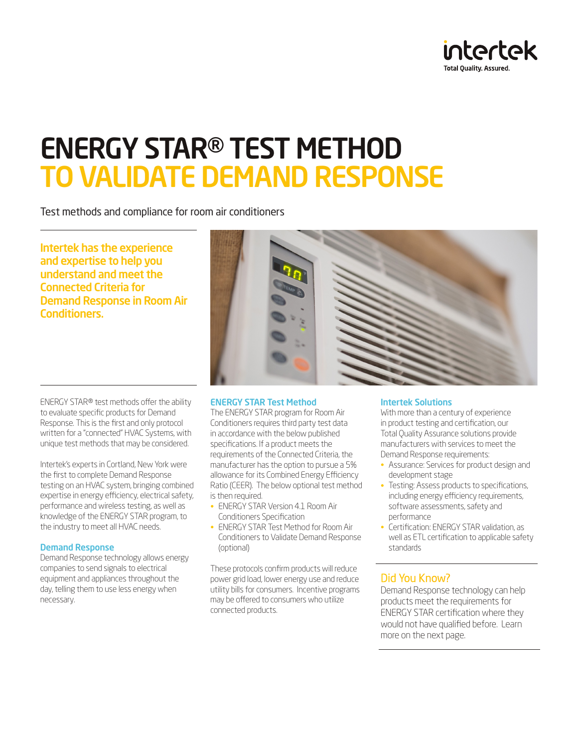

# ENERGY STAR® TEST METHOD TO VALIDATE DEMAND RESPONSE

Test methods and compliance for room air conditioners

Intertek has the experience and expertise to help you understand and meet the Connected Criteria for Demand Response in Room Air Conditioners.

ENERGY STAR® test methods offer the ability to evaluate specific products for Demand Response. This is the first and only protocol written for a "connected" HVAC Systems, with unique test methods that may be considered.

Intertek's experts in Cortland, New York were the first to complete Demand Response testing on an HVAC system, bringing combined expertise in energy efficiency, electrical safety, performance and wireless testing, as well as knowledge of the ENERGY STAR program, to the industry to meet all HVAC needs.

### Demand Response

Demand Response technology allows energy companies to send signals to electrical equipment and appliances throughout the day, telling them to use less energy when necessary.



The ENERGY STAR program for Room Air Conditioners requires third party test data in accordance with the below published specifications. If a product meets the requirements of the Connected Criteria, the manufacturer has the option to pursue a 5% allowance for its Combined Energy Efficiency Ratio (CEER). The below optional test method is then required.

- ENERGY STAR Version 4.1 Room Air Conditioners Specification
- ENERGY STAR Test Method for Room Air Conditioners to Validate Demand Response (optional)

These protocols confirm products will reduce power grid load, lower energy use and reduce utility bills for consumers. Incentive programs may be offered to consumers who utilize connected products.

### Intertek Solutions

With more than a century of experience in product testing and certification, our Total Quality Assurance solutions provide manufacturers with services to meet the Demand Response requirements:

- Assurance: Services for product design and development stage
- Testing: Assess products to specifications, including energy efficiency requirements, software assessments, safety and performance
- Certification: ENERGY STAR validation, as well as ETL certification to applicable safety standards

### Did You Know?

Demand Response technology can help products meet the requirements for ENERGY STAR certification where they would not have qualified before. Learn more on the next page.